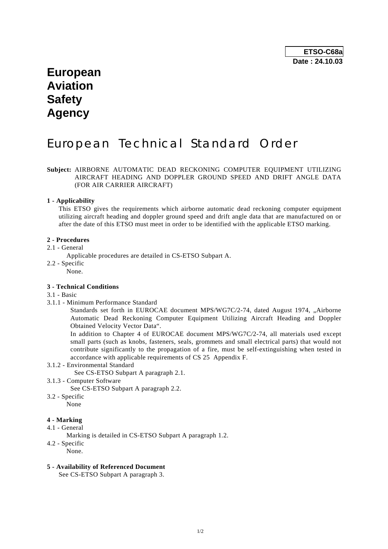# **European Aviation Safety Agency**

# European Technical Standard Order

# **Subject:** AIRBORNE AUTOMATIC DEAD RECKONING COMPUTER EQUIPMENT UTILIZING AIRCRAFT HEADING AND DOPPLER GROUND SPEED AND DRIFT ANGLE DATA (FOR AIR CARRIER AIRCRAFT)

### **1 - Applicability**

 This ETSO gives the requirements which airborne automatic dead reckoning computer equipment utilizing aircraft heading and doppler ground speed and drift angle data that are manufactured on or after the date of this ETSO must meet in order to be identified with the applicable ETSO marking.

#### **2 - Procedures**

#### 2.1 - General

Applicable procedures are detailed in CS-ETSO Subpart A.

- 2.2 Specific
	- None.

## **3 - Technical Conditions**

### 3.1 - Basic

3.1.1 - Minimum Performance Standard

Standards set forth in EUROCAE document MPS/WG7C/2-74, dated August 1974, "Airborne Automatic Dead Reckoning Computer Equipment Utilizing Aircraft Heading and Doppler Obtained Velocity Vector Data".

 In addition to Chapter 4 of EUROCAE document MPS/WG7C/2-74, all materials used except small parts (such as knobs, fasteners, seals, grommets and small electrical parts) that would not contribute significantly to the propagation of a fire, must be self-extinguishing when tested in accordance with applicable requirements of CS 25 Appendix F.

3.1.2 - Environmental Standard

See CS-ETSO Subpart A paragraph 2.1.

3.1.3 - Computer Software

See CS-ETSO Subpart A paragraph 2.2.

3.2 - Specific

None

# **4 - Marking**

- 4.1 General
	- Marking is detailed in CS-ETSO Subpart A paragraph 1.2.
- 4.2 Specific
	- None.

### **5 - Availability of Referenced Document**

See CS-ETSO Subpart A paragraph 3.